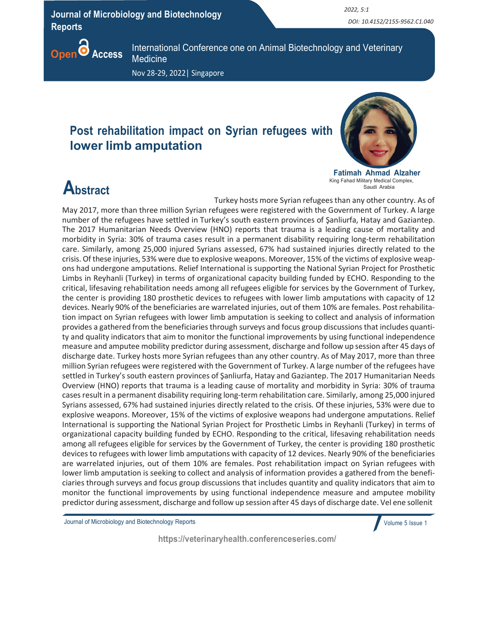Journal of Microbiology and Biotechnology Reports

 2022, 5:1 DOI: 10.4152/2155-9562.C1.040



International Conference one on Animal Biotechnology and Veterinary **Medicine** 

Nov 28-29, 2022| Singapore

## Post rehabilitation impact on Syrian refugees with lower limb amputation



Fatimah Ahmad Alzaher King Fahad Military Medical Complex, Saudi Arabia

## **Abstract**

Turkey hosts more Syrian refugees than any other country. As of

May 2017, more than three million Syrian refugees were registered with the Government of Turkey. A large number of the refugees have settled in Turkey's south eastern provinces of Şanliurfa, Hatay and Gaziantep. The 2017 Humanitarian Needs Overview (HNO) reports that trauma is a leading cause of mortality and morbidity in Syria: 30% of trauma cases result in a permanent disability requiring long-term rehabilitation care. Similarly, among 25,000 injured Syrians assessed, 67% had sustained injuries directly related to the crisis. Of these injuries, 53% were due to explosive weapons. Moreover, 15% of the victims of explosive weapons had undergone amputations. Relief International is supporting the National Syrian Project for Prosthetic Limbs in Reyhanli (Turkey) in terms of organizational capacity building funded by ECHO. Responding to the critical, lifesaving rehabilitation needs among all refugees eligible for services by the Government of Turkey, the center is providing 180 prosthetic devices to refugees with lower limb amputations with capacity of 12 devices. Nearly 90% of the beneficiaries are warrelated injuries, out of them 10% are females. Post rehabilitation impact on Syrian refugees with lower limb amputation is seeking to collect and analysis of information provides a gathered from the beneficiaries through surveys and focus group discussions that includes quantity and quality indicators that aim to monitor the functional improvements by using functional independence measure and amputee mobility predictor during assessment, discharge and follow up session after 45 days of discharge date. Turkey hosts more Syrian refugees than any other country. As of May 2017, more than three million Syrian refugees were registered with the Government of Turkey. A large number of the refugees have settled in Turkey's south eastern provinces of Şanliurfa, Hatay and Gaziantep. The 2017 Humanitarian Needs Overview (HNO) reports that trauma is a leading cause of mortality and morbidity in Syria: 30% of trauma cases result in a permanent disability requiring long-term rehabilitation care. Similarly, among 25,000 injured Syrians assessed, 67% had sustained injuries directly related to the crisis. Of these injuries, 53% were due to explosive weapons. Moreover, 15% of the victims of explosive weapons had undergone amputations. Relief International is supporting the National Syrian Project for Prosthetic Limbs in Reyhanli (Turkey) in terms of organizational capacity building funded by ECHO. Responding to the critical, lifesaving rehabilitation needs among all refugees eligible for services by the Government of Turkey, the center is providing 180 prosthetic devices to refugees with lower limb amputations with capacity of 12 devices. Nearly 90% of the beneficiaries are warrelated injuries, out of them 10% are females. Post rehabilitation impact on Syrian refugees with lower limb amputation is seeking to collect and analysis of information provides a gathered from the beneficiaries through surveys and focus group discussions that includes quantity and quality indicators that aim to monitor the functional improvements by using functional independence measure and amputee mobility predictor during assessment, discharge and follow up session after 45 days of discharge date. Vel ene sollenit

Journal of Microbiology and Biotechnology Reports

Volume 5 Issue 1

https://veterinaryhealth.conferenceseries.com/